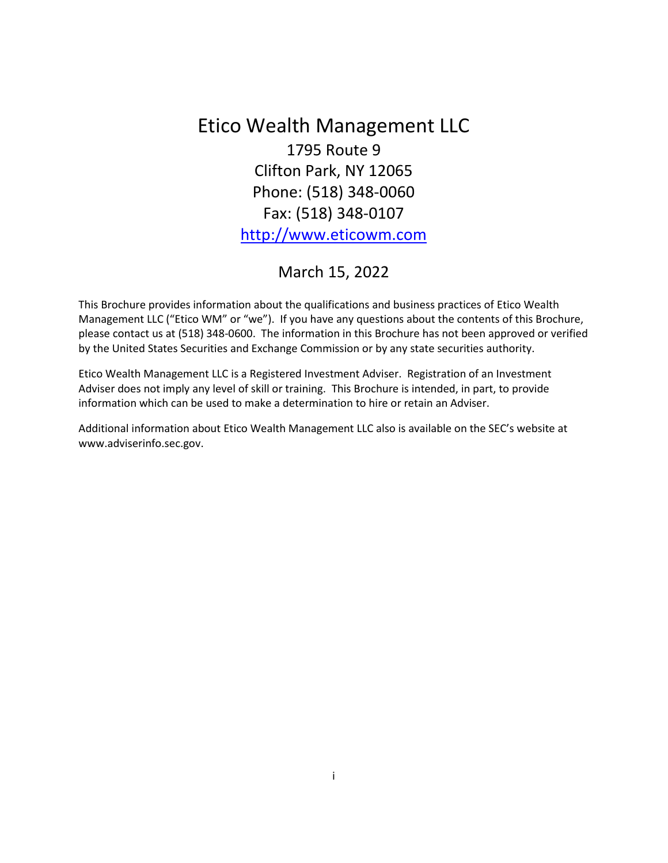<span id="page-0-0"></span>Etico Wealth Management LLC 1795 Route 9 Clifton Park, NY 12065 Phone: (518) 348-0060 Fax: (518) 348-0107 [http://www.eticowm.com](http://www.eticowm.com/)

# March 15, 2022

This Brochure provides information about the qualifications and business practices of Etico Wealth Management LLC ("Etico WM" or "we"). If you have any questions about the contents of this Brochure, please contact us at (518) 348-0600. The information in this Brochure has not been approved or verified by the United States Securities and Exchange Commission or by any state securities authority.

Etico Wealth Management LLC is a Registered Investment Adviser. Registration of an Investment Adviser does not imply any level of skill or training. This Brochure is intended, in part, to provide information which can be used to make a determination to hire or retain an Adviser.

Additional information about Etico Wealth Management LLC also is available on the SEC's website at [www.adviserinfo.sec.gov.](http://www.adviserinfo.sec.gov/)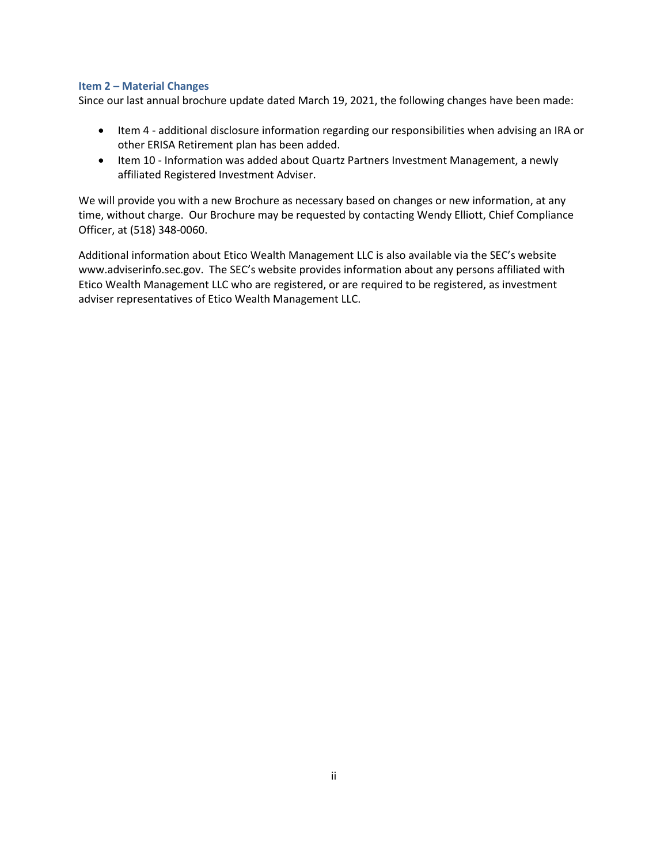## <span id="page-1-0"></span>**Item 2 – Material Changes**

Since our last annual brochure update dated March 19, 2021, the following changes have been made:

- Item 4 additional disclosure information regarding our responsibilities when advising an IRA or other ERISA Retirement plan has been added.
- Item 10 Information was added about Quartz Partners Investment Management, a newly affiliated Registered Investment Adviser.

We will provide you with a new Brochure as necessary based on changes or new information, at any time, without charge. Our Brochure may be requested by contacting Wendy Elliott, Chief Compliance Officer, at (518) 348-0060.

Additional information about Etico Wealth Management LLC is also available via the SEC's website [www.adviserinfo.sec.gov](http://www.adviserinfo.sec.gov/). The SEC's website provides information about any persons affiliated with Etico Wealth Management LLC who are registered, or are required to be registered, as investment adviser representatives of Etico Wealth Management LLC.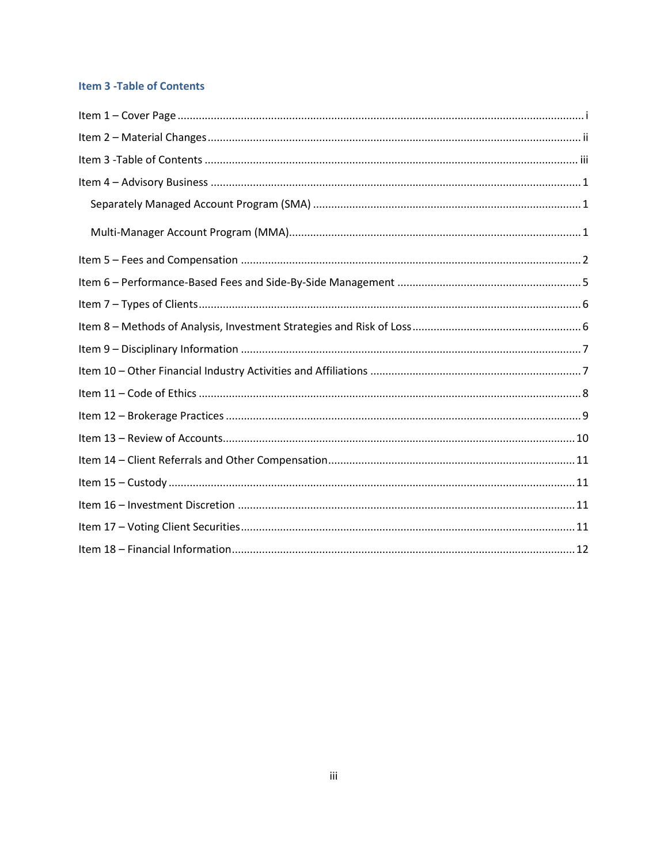## <span id="page-2-0"></span>**Item 3 - Table of Contents**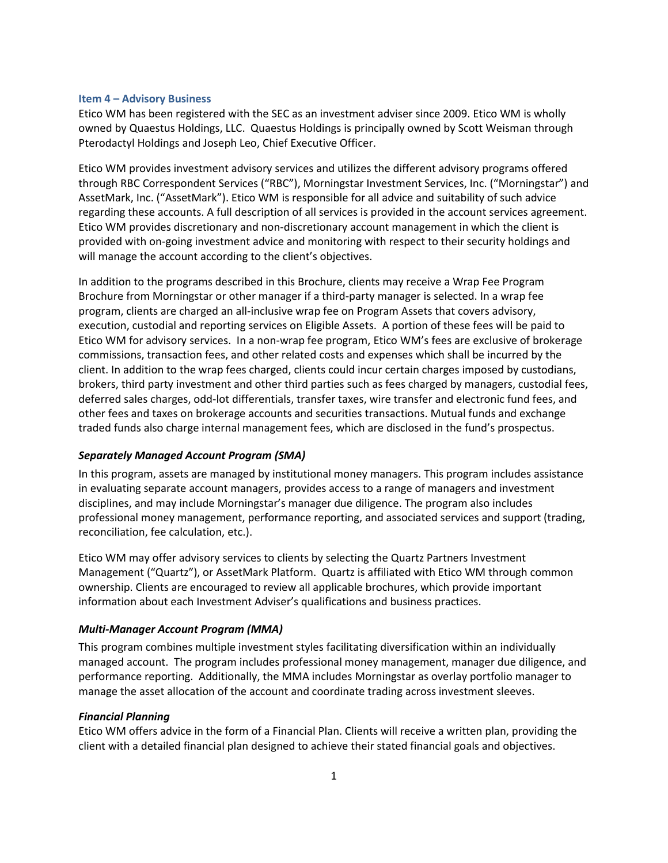#### <span id="page-3-0"></span>**Item 4 – Advisory Business**

Etico WM has been registered with the SEC as an investment adviser since 2009. Etico WM is wholly owned by Quaestus Holdings, LLC. Quaestus Holdings is principally owned by Scott Weisman through Pterodactyl Holdings and Joseph Leo, Chief Executive Officer.

Etico WM provides investment advisory services and utilizes the different advisory programs offered through RBC Correspondent Services ("RBC"), Morningstar Investment Services, Inc. ("Morningstar") and AssetMark, Inc. ("AssetMark"). Etico WM is responsible for all advice and suitability of such advice regarding these accounts. A full description of all services is provided in the account services agreement. Etico WM provides discretionary and non-discretionary account management in which the client is provided with on-going investment advice and monitoring with respect to their security holdings and will manage the account according to the client's objectives.

In addition to the programs described in this Brochure, clients may receive a Wrap Fee Program Brochure from Morningstar or other manager if a third-party manager is selected. In a wrap fee program, clients are charged an all-inclusive wrap fee on Program Assets that covers advisory, execution, custodial and reporting services on Eligible Assets. A portion of these fees will be paid to Etico WM for advisory services. In a non-wrap fee program, Etico WM's fees are exclusive of brokerage commissions, transaction fees, and other related costs and expenses which shall be incurred by the client. In addition to the wrap fees charged, clients could incur certain charges imposed by custodians, brokers, third party investment and other third parties such as fees charged by managers, custodial fees, deferred sales charges, odd-lot differentials, transfer taxes, wire transfer and electronic fund fees, and other fees and taxes on brokerage accounts and securities transactions. Mutual funds and exchange traded funds also charge internal management fees, which are disclosed in the fund's prospectus.

## <span id="page-3-1"></span>*Separately Managed Account Program (SMA)*

In this program, assets are managed by institutional money managers. This program includes assistance in evaluating separate account managers, provides access to a range of managers and investment disciplines, and may include Morningstar's manager due diligence. The program also includes professional money management, performance reporting, and associated services and support (trading, reconciliation, fee calculation, etc.).

Etico WM may offer advisory services to clients by selecting the Quartz Partners Investment Management ("Quartz"), or AssetMark Platform. Quartz is affiliated with Etico WM through common ownership. Clients are encouraged to review all applicable brochures, which provide important information about each Investment Adviser's qualifications and business practices.

#### <span id="page-3-2"></span>*Multi-Manager Account Program (MMA)*

This program combines multiple investment styles facilitating diversification within an individually managed account. The program includes professional money management, manager due diligence, and performance reporting. Additionally, the MMA includes Morningstar as overlay portfolio manager to manage the asset allocation of the account and coordinate trading across investment sleeves.

#### *Financial Planning*

Etico WM offers advice in the form of a Financial Plan. Clients will receive a written plan, providing the client with a detailed financial plan designed to achieve their stated financial goals and objectives.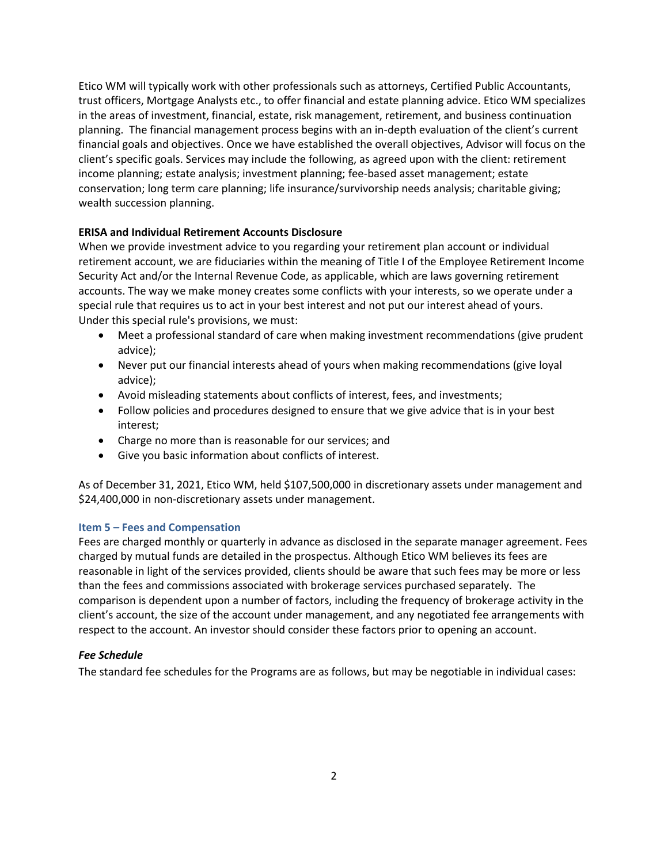Etico WM will typically work with other professionals such as attorneys, Certified Public Accountants, trust officers, Mortgage Analysts etc., to offer financial and estate planning advice. Etico WM specializes in the areas of investment, financial, estate, risk management, retirement, and business continuation planning. The financial management process begins with an in-depth evaluation of the client's current financial goals and objectives. Once we have established the overall objectives, Advisor will focus on the client's specific goals. Services may include the following, as agreed upon with the client: retirement income planning; estate analysis; investment planning; fee-based asset management; estate conservation; long term care planning; life insurance/survivorship needs analysis; charitable giving; wealth succession planning.

## **ERISA and Individual Retirement Accounts Disclosure**

When we provide investment advice to you regarding your retirement plan account or individual retirement account, we are fiduciaries within the meaning of Title I of the Employee Retirement Income Security Act and/or the Internal Revenue Code, as applicable, which are laws governing retirement accounts. The way we make money creates some conflicts with your interests, so we operate under a special rule that requires us to act in your best interest and not put our interest ahead of yours. Under this special rule's provisions, we must:

- Meet a professional standard of care when making investment recommendations (give prudent advice);
- Never put our financial interests ahead of yours when making recommendations (give loyal advice);
- Avoid misleading statements about conflicts of interest, fees, and investments;
- Follow policies and procedures designed to ensure that we give advice that is in your best interest;
- Charge no more than is reasonable for our services; and
- Give you basic information about conflicts of interest.

As of December 31, 2021, Etico WM, held \$107,500,000 in discretionary assets under management and \$24,400,000 in non-discretionary assets under management.

## <span id="page-4-0"></span>**Item 5 – Fees and Compensation**

Fees are charged monthly or quarterly in advance as disclosed in the separate manager agreement. Fees charged by mutual funds are detailed in the prospectus. Although Etico WM believes its fees are reasonable in light of the services provided, clients should be aware that such fees may be more or less than the fees and commissions associated with brokerage services purchased separately. The comparison is dependent upon a number of factors, including the frequency of brokerage activity in the client's account, the size of the account under management, and any negotiated fee arrangements with respect to the account. An investor should consider these factors prior to opening an account.

## *Fee Schedule*

The standard fee schedules for the Programs are as follows, but may be negotiable in individual cases: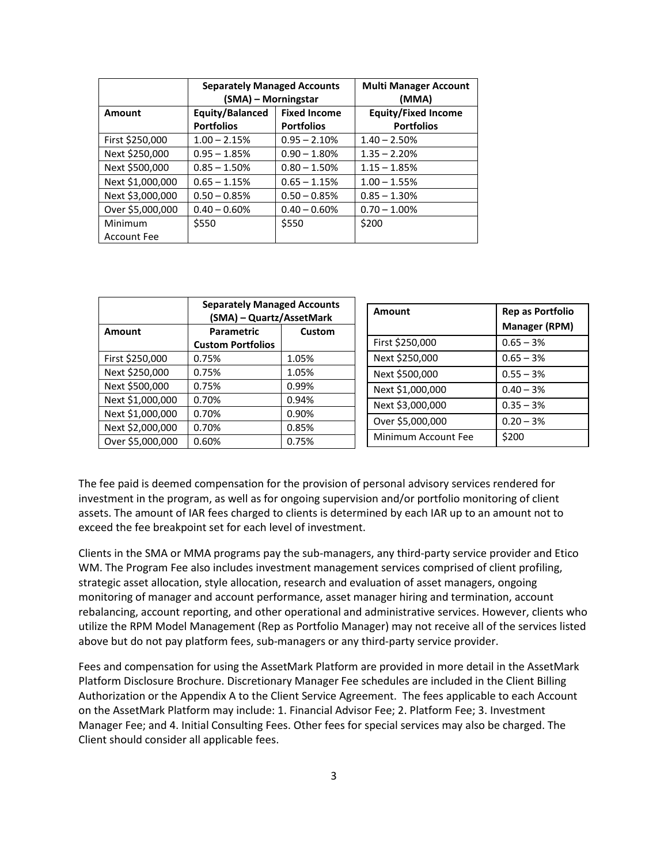|                    | <b>Separately Managed Accounts</b><br>(SMA) – Morningstar |                     | <b>Multi Manager Account</b><br>(MMA) |
|--------------------|-----------------------------------------------------------|---------------------|---------------------------------------|
| <b>Amount</b>      | <b>Equity/Balanced</b>                                    | <b>Fixed Income</b> | <b>Equity/Fixed Income</b>            |
|                    | <b>Portfolios</b>                                         | <b>Portfolios</b>   | <b>Portfolios</b>                     |
| First \$250,000    | $1.00 - 2.15%$                                            | $0.95 - 2.10%$      | $1.40 - 2.50%$                        |
| Next \$250,000     | $0.95 - 1.85%$                                            | $0.90 - 1.80\%$     | $1.35 - 2.20%$                        |
| Next \$500,000     | $0.85 - 1.50%$                                            | $0.80 - 1.50%$      | $1.15 - 1.85%$                        |
| Next \$1,000,000   | $0.65 - 1.15%$                                            | $0.65 - 1.15%$      | $1.00 - 1.55%$                        |
| Next \$3,000,000   | $0.50 - 0.85%$                                            | $0.50 - 0.85%$      | $0.85 - 1.30%$                        |
| Over \$5,000,000   | $0.40 - 0.60\%$                                           | $0.40 - 0.60\%$     | $0.70 - 1.00\%$                       |
| Minimum            | \$550                                                     | \$550               | \$200                                 |
| <b>Account Fee</b> |                                                           |                     |                                       |

|                  | <b>Separately Managed Accounts</b><br>(SMA) - Quartz/AssetMark |        | Amount              | <b>Rep as Portfolio</b> |
|------------------|----------------------------------------------------------------|--------|---------------------|-------------------------|
| Amount           | Parametric                                                     | Custom |                     | <b>Manager (RPM)</b>    |
|                  | <b>Custom Portfolios</b>                                       |        | First \$250,000     | $0.65 - 3%$             |
| First \$250,000  | 0.75%                                                          | 1.05%  | Next \$250,000      | $0.65 - 3%$             |
| Next \$250,000   | 0.75%                                                          | 1.05%  | Next \$500,000      | $0.55 - 3%$             |
| Next \$500,000   | 0.75%                                                          | 0.99%  | Next \$1,000,000    | $0.40 - 3%$             |
| Next \$1,000,000 | 0.70%                                                          | 0.94%  | Next \$3,000,000    | $0.35 - 3%$             |
| Next \$1,000,000 | 0.70%                                                          | 0.90%  |                     |                         |
| Next \$2,000,000 | 0.70%                                                          | 0.85%  | Over \$5,000,000    | $0.20 - 3%$             |
| Over \$5,000,000 | 0.60%                                                          | 0.75%  | Minimum Account Fee | \$200                   |

The fee paid is deemed compensation for the provision of personal advisory services rendered for investment in the program, as well as for ongoing supervision and/or portfolio monitoring of client assets. The amount of IAR fees charged to clients is determined by each IAR up to an amount not to exceed the fee breakpoint set for each level of investment.

Clients in the SMA or MMA programs pay the sub-managers, any third-party service provider and Etico WM. The Program Fee also includes investment management services comprised of client profiling, strategic asset allocation, style allocation, research and evaluation of asset managers, ongoing monitoring of manager and account performance, asset manager hiring and termination, account rebalancing, account reporting, and other operational and administrative services. However, clients who utilize the RPM Model Management (Rep as Portfolio Manager) may not receive all of the services listed above but do not pay platform fees, sub-managers or any third-party service provider.

Fees and compensation for using the AssetMark Platform are provided in more detail in the AssetMark Platform Disclosure Brochure. Discretionary Manager Fee schedules are included in the Client Billing Authorization or the Appendix A to the Client Service Agreement. The fees applicable to each Account on the AssetMark Platform may include: 1. Financial Advisor Fee; 2. Platform Fee; 3. Investment Manager Fee; and 4. Initial Consulting Fees. Other fees for special services may also be charged. The Client should consider all applicable fees.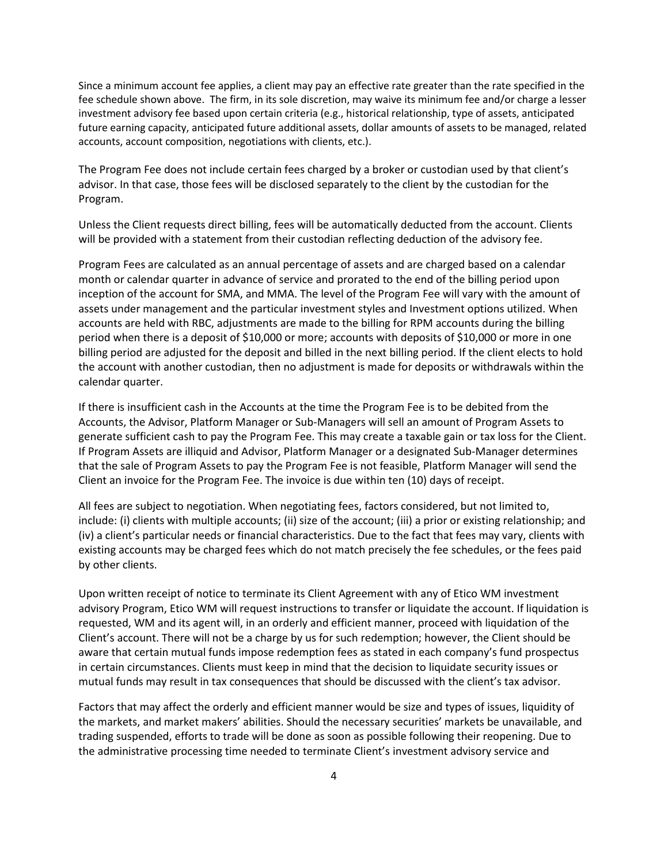Since a minimum account fee applies, a client may pay an effective rate greater than the rate specified in the fee schedule shown above. The firm, in its sole discretion, may waive its minimum fee and/or charge a lesser investment advisory fee based upon certain criteria (e.g., historical relationship, type of assets, anticipated future earning capacity, anticipated future additional assets, dollar amounts of assets to be managed, related accounts, account composition, negotiations with clients, etc.).

The Program Fee does not include certain fees charged by a broker or custodian used by that client's advisor. In that case, those fees will be disclosed separately to the client by the custodian for the Program.

Unless the Client requests direct billing, fees will be automatically deducted from the account. Clients will be provided with a statement from their custodian reflecting deduction of the advisory fee.

Program Fees are calculated as an annual percentage of assets and are charged based on a calendar month or calendar quarter in advance of service and prorated to the end of the billing period upon inception of the account for SMA, and MMA. The level of the Program Fee will vary with the amount of assets under management and the particular investment styles and Investment options utilized. When accounts are held with RBC, adjustments are made to the billing for RPM accounts during the billing period when there is a deposit of \$10,000 or more; accounts with deposits of \$10,000 or more in one billing period are adjusted for the deposit and billed in the next billing period. If the client elects to hold the account with another custodian, then no adjustment is made for deposits or withdrawals within the calendar quarter.

If there is insufficient cash in the Accounts at the time the Program Fee is to be debited from the Accounts, the Advisor, Platform Manager or Sub-Managers will sell an amount of Program Assets to generate sufficient cash to pay the Program Fee. This may create a taxable gain or tax loss for the Client. If Program Assets are illiquid and Advisor, Platform Manager or a designated Sub-Manager determines that the sale of Program Assets to pay the Program Fee is not feasible, Platform Manager will send the Client an invoice for the Program Fee. The invoice is due within ten (10) days of receipt.

All fees are subject to negotiation. When negotiating fees, factors considered, but not limited to, include: (i) clients with multiple accounts; (ii) size of the account; (iii) a prior or existing relationship; and (iv) a client's particular needs or financial characteristics. Due to the fact that fees may vary, clients with existing accounts may be charged fees which do not match precisely the fee schedules, or the fees paid by other clients.

Upon written receipt of notice to terminate its Client Agreement with any of Etico WM investment advisory Program, Etico WM will request instructions to transfer or liquidate the account. If liquidation is requested, WM and its agent will, in an orderly and efficient manner, proceed with liquidation of the Client's account. There will not be a charge by us for such redemption; however, the Client should be aware that certain mutual funds impose redemption fees as stated in each company's fund prospectus in certain circumstances. Clients must keep in mind that the decision to liquidate security issues or mutual funds may result in tax consequences that should be discussed with the client's tax advisor.

Factors that may affect the orderly and efficient manner would be size and types of issues, liquidity of the markets, and market makers' abilities. Should the necessary securities' markets be unavailable, and trading suspended, efforts to trade will be done as soon as possible following their reopening. Due to the administrative processing time needed to terminate Client's investment advisory service and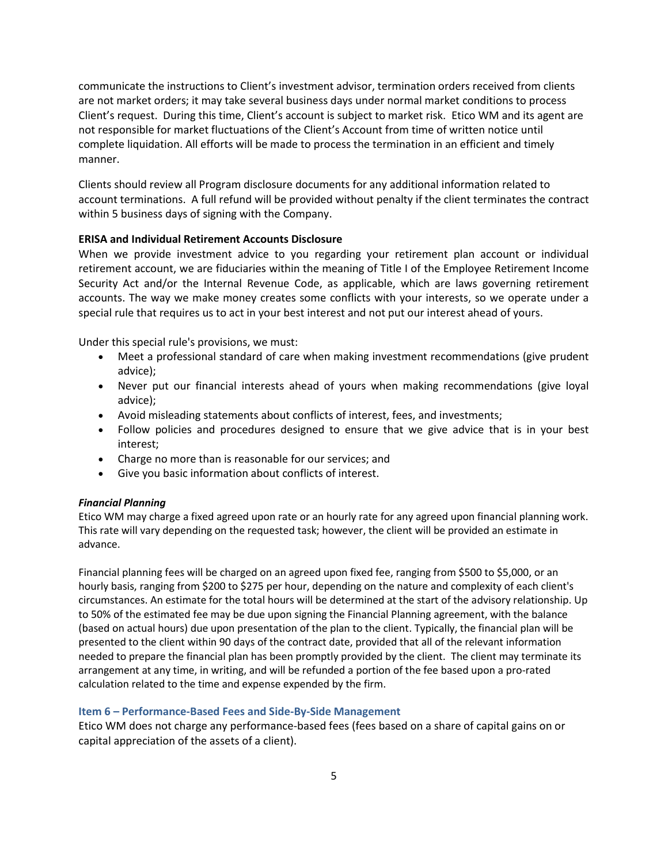communicate the instructions to Client's investment advisor, termination orders received from clients are not market orders; it may take several business days under normal market conditions to process Client's request. During this time, Client's account is subject to market risk. Etico WM and its agent are not responsible for market fluctuations of the Client's Account from time of written notice until complete liquidation. All efforts will be made to process the termination in an efficient and timely manner.

Clients should review all Program disclosure documents for any additional information related to account terminations. A full refund will be provided without penalty if the client terminates the contract within 5 business days of signing with the Company.

## **ERISA and Individual Retirement Accounts Disclosure**

When we provide investment advice to you regarding your retirement plan account or individual retirement account, we are fiduciaries within the meaning of Title I of the Employee Retirement Income Security Act and/or the Internal Revenue Code, as applicable, which are laws governing retirement accounts. The way we make money creates some conflicts with your interests, so we operate under a special rule that requires us to act in your best interest and not put our interest ahead of yours.

Under this special rule's provisions, we must:

- Meet a professional standard of care when making investment recommendations (give prudent advice);
- Never put our financial interests ahead of yours when making recommendations (give loyal advice);
- Avoid misleading statements about conflicts of interest, fees, and investments;
- Follow policies and procedures designed to ensure that we give advice that is in your best interest;
- Charge no more than is reasonable for our services; and
- Give you basic information about conflicts of interest.

#### *Financial Planning*

Etico WM may charge a fixed agreed upon rate or an hourly rate for any agreed upon financial planning work. This rate will vary depending on the requested task; however, the client will be provided an estimate in advance.

Financial planning fees will be charged on an agreed upon fixed fee, ranging from \$500 to \$5,000, or an hourly basis, ranging from \$200 to \$275 per hour, depending on the nature and complexity of each client's circumstances. An estimate for the total hours will be determined at the start of the advisory relationship. Up to 50% of the estimated fee may be due upon signing the Financial Planning agreement, with the balance (based on actual hours) due upon presentation of the plan to the client. Typically, the financial plan will be presented to the client within 90 days of the contract date, provided that all of the relevant information needed to prepare the financial plan has been promptly provided by the client. The client may terminate its arrangement at any time, in writing, and will be refunded a portion of the fee based upon a pro-rated calculation related to the time and expense expended by the firm.

#### <span id="page-7-0"></span>**Item 6 – Performance-Based Fees and Side-By-Side Management**

Etico WM does not charge any performance-based fees (fees based on a share of capital gains on or capital appreciation of the assets of a client).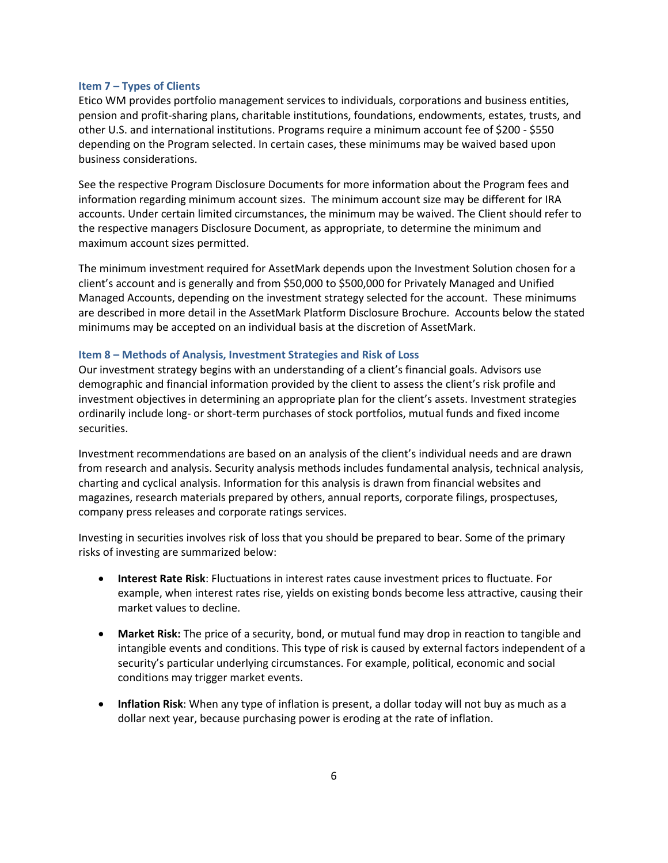#### <span id="page-8-0"></span>**Item 7 – Types of Clients**

Etico WM provides portfolio management services to individuals, corporations and business entities, pension and profit-sharing plans, charitable institutions, foundations, endowments, estates, trusts, and other U.S. and international institutions. Programs require a minimum account fee of \$200 - \$550 depending on the Program selected. In certain cases, these minimums may be waived based upon business considerations.

See the respective Program Disclosure Documents for more information about the Program fees and information regarding minimum account sizes. The minimum account size may be different for IRA accounts. Under certain limited circumstances, the minimum may be waived. The Client should refer to the respective managers Disclosure Document, as appropriate, to determine the minimum and maximum account sizes permitted.

The minimum investment required for AssetMark depends upon the Investment Solution chosen for a client's account and is generally and from \$50,000 to \$500,000 for Privately Managed and Unified Managed Accounts, depending on the investment strategy selected for the account. These minimums are described in more detail in the AssetMark Platform Disclosure Brochure. Accounts below the stated minimums may be accepted on an individual basis at the discretion of AssetMark.

#### <span id="page-8-1"></span>**Item 8 – Methods of Analysis, Investment Strategies and Risk of Loss**

Our investment strategy begins with an understanding of a client's financial goals. Advisors use demographic and financial information provided by the client to assess the client's risk profile and investment objectives in determining an appropriate plan for the client's assets. Investment strategies ordinarily include long- or short-term purchases of stock portfolios, mutual funds and fixed income securities.

Investment recommendations are based on an analysis of the client's individual needs and are drawn from research and analysis. Security analysis methods includes fundamental analysis, technical analysis, charting and cyclical analysis. Information for this analysis is drawn from financial websites and magazines, research materials prepared by others, annual reports, corporate filings, prospectuses, company press releases and corporate ratings services.

Investing in securities involves risk of loss that you should be prepared to bear. Some of the primary risks of investing are summarized below:

- **Interest Rate Risk**: Fluctuations in interest rates cause investment prices to fluctuate. For example, when interest rates rise, yields on existing bonds become less attractive, causing their market values to decline.
- **Market Risk:** The price of a security, bond, or mutual fund may drop in reaction to tangible and intangible events and conditions. This type of risk is caused by external factors independent of a security's particular underlying circumstances. For example, political, economic and social conditions may trigger market events.
- **Inflation Risk**: When any type of inflation is present, a dollar today will not buy as much as a dollar next year, because purchasing power is eroding at the rate of inflation.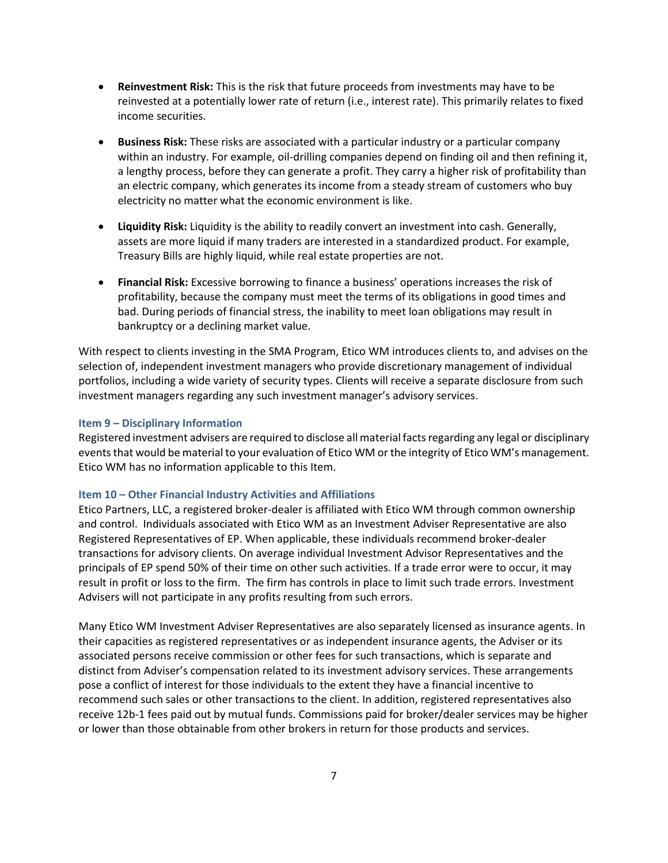- **Reinvestment Risk:** This is the risk that future proceeds from investments may have to be reinvested at a potentially lower rate of return (i.e., interest rate). This primarily relates to fixed income securities.
- **Business Risk:** These risks are associated with a particular industry or a particular company within an industry. For example, oil-drilling companies depend on finding oil and then refining it, a lengthy process, before they can generate a profit. They carry a higher risk of profitability than an electric company, which generates its income from a steady stream of customers who buy electricity no matter what the economic environment is like.
- **Liquidity Risk:** Liquidity is the ability to readily convert an investment into cash. Generally, assets are more liquid if many traders are interested in a standardized product. For example, Treasury Bills are highly liquid, while real estate properties are not.
- **Financial Risk:** Excessive borrowing to finance a business' operations increases the risk of profitability, because the company must meet the terms of its obligations in good times and bad. During periods of financial stress, the inability to meet loan obligations may result in bankruptcy or a declining market value.

With respect to clients investing in the SMA Program, Etico WM introduces clients to, and advises on the selection of, independent investment managers who provide discretionary management of individual portfolios, including a wide variety of security types. Clients will receive a separate disclosure from such investment managers regarding any such investment manager's advisory services.

#### <span id="page-9-0"></span>**Item 9 – Disciplinary Information**

Registered investment advisers are required to disclose all material facts regarding any legal or disciplinary events that would be material to your evaluation of Etico WM or the integrity of Etico WM's management. Etico WM has no information applicable to this Item.

#### <span id="page-9-1"></span>**Item 10 – Other Financial Industry Activities and Affiliations**

Etico Partners, LLC, a registered broker-dealer is affiliated with Etico WM through common ownership and control. Individuals associated with Etico WM as an Investment Adviser Representative are also Registered Representatives of EP. When applicable, these individuals recommend broker-dealer transactions for advisory clients. On average individual Investment Advisor Representatives and the principals of EP spend 50% of their time on other such activities. If a trade error were to occur, it may result in profit or loss to the firm. The firm has controls in place to limit such trade errors. Investment Advisers will not participate in any profits resulting from such errors.

Many Etico WM Investment Adviser Representatives are also separately licensed as insurance agents. In their capacities as registered representatives or as independent insurance agents, the Adviser or its associated persons receive commission or other fees for such transactions, which is separate and distinct from Adviser's compensation related to its investment advisory services. These arrangements pose a conflict of interest for those individuals to the extent they have a financial incentive to recommend such sales or other transactions to the client. In addition, registered representatives also receive 12b-1 fees paid out by mutual funds. Commissions paid for broker/dealer services may be higher or lower than those obtainable from other brokers in return for those products and services.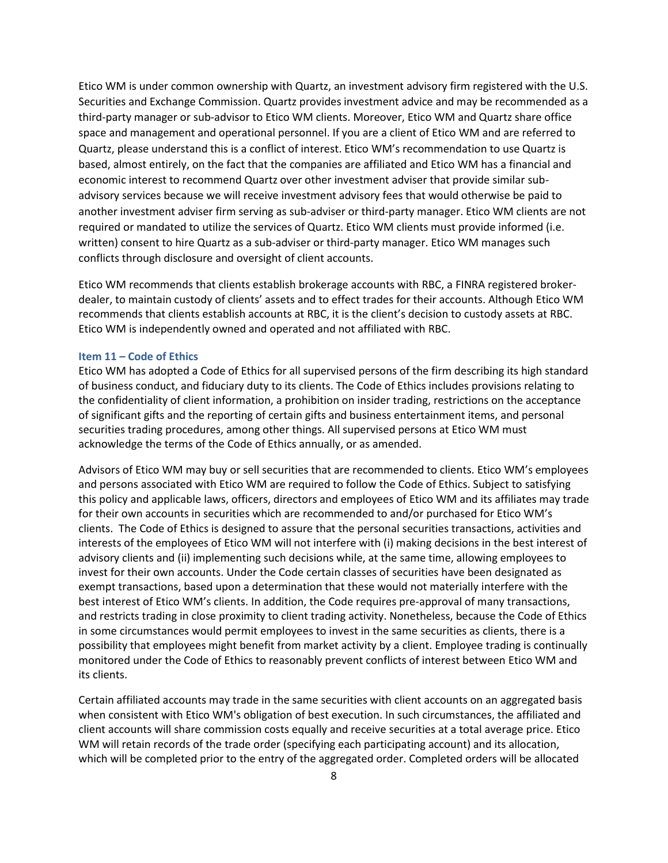Etico WM is under common ownership with Quartz, an investment advisory firm registered with the U.S. Securities and Exchange Commission. Quartz provides investment advice and may be recommended as a third-party manager or sub-advisor to Etico WM clients. Moreover, Etico WM and Quartz share office space and management and operational personnel. If you are a client of Etico WM and are referred to Quartz, please understand this is a conflict of interest. Etico WM's recommendation to use Quartz is based, almost entirely, on the fact that the companies are affiliated and Etico WM has a financial and economic interest to recommend Quartz over other investment adviser that provide similar subadvisory services because we will receive investment advisory fees that would otherwise be paid to another investment adviser firm serving as sub-adviser or third-party manager. Etico WM clients are not required or mandated to utilize the services of Quartz. Etico WM clients must provide informed (i.e. written) consent to hire Quartz as a sub-adviser or third-party manager. Etico WM manages such conflicts through disclosure and oversight of client accounts.

Etico WM recommends that clients establish brokerage accounts with RBC, a FINRA registered brokerdealer, to maintain custody of clients' assets and to effect trades for their accounts. Although Etico WM recommends that clients establish accounts at RBC, it is the client's decision to custody assets at RBC. Etico WM is independently owned and operated and not affiliated with RBC.

## <span id="page-10-0"></span>**Item 11 – Code of Ethics**

Etico WM has adopted a Code of Ethics for all supervised persons of the firm describing its high standard of business conduct, and fiduciary duty to its clients. The Code of Ethics includes provisions relating to the confidentiality of client information, a prohibition on insider trading, restrictions on the acceptance of significant gifts and the reporting of certain gifts and business entertainment items, and personal securities trading procedures, among other things. All supervised persons at Etico WM must acknowledge the terms of the Code of Ethics annually, or as amended.

Advisors of Etico WM may buy or sell securities that are recommended to clients. Etico WM's employees and persons associated with Etico WM are required to follow the Code of Ethics. Subject to satisfying this policy and applicable laws, officers, directors and employees of Etico WM and its affiliates may trade for their own accounts in securities which are recommended to and/or purchased for Etico WM's clients. The Code of Ethics is designed to assure that the personal securities transactions, activities and interests of the employees of Etico WM will not interfere with (i) making decisions in the best interest of advisory clients and (ii) implementing such decisions while, at the same time, allowing employees to invest for their own accounts. Under the Code certain classes of securities have been designated as exempt transactions, based upon a determination that these would not materially interfere with the best interest of Etico WM's clients. In addition, the Code requires pre-approval of many transactions, and restricts trading in close proximity to client trading activity. Nonetheless, because the Code of Ethics in some circumstances would permit employees to invest in the same securities as clients, there is a possibility that employees might benefit from market activity by a client. Employee trading is continually monitored under the Code of Ethics to reasonably prevent conflicts of interest between Etico WM and its clients.

Certain affiliated accounts may trade in the same securities with client accounts on an aggregated basis when consistent with Etico WM's obligation of best execution. In such circumstances, the affiliated and client accounts will share commission costs equally and receive securities at a total average price. Etico WM will retain records of the trade order (specifying each participating account) and its allocation, which will be completed prior to the entry of the aggregated order. Completed orders will be allocated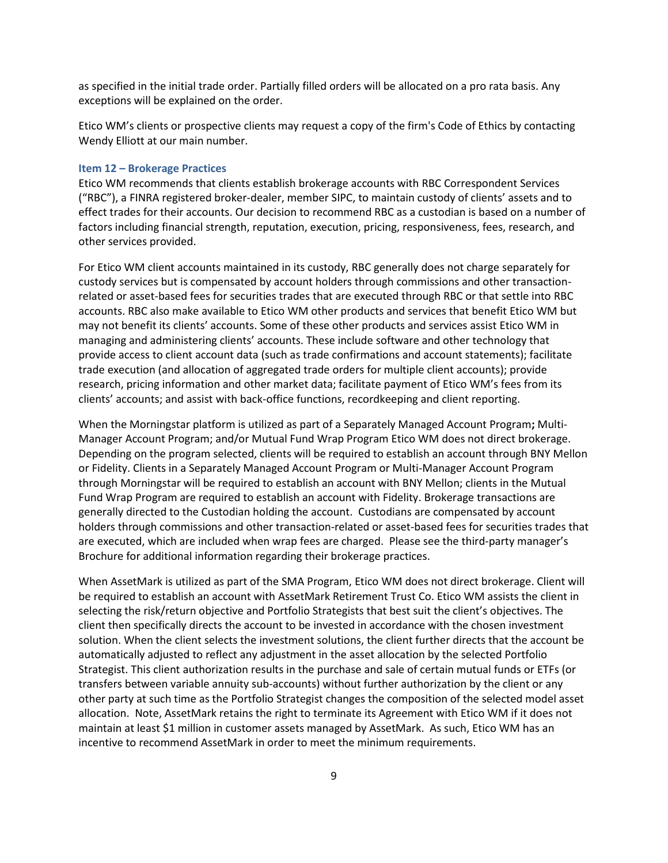as specified in the initial trade order. Partially filled orders will be allocated on a pro rata basis. Any exceptions will be explained on the order.

Etico WM's clients or prospective clients may request a copy of the firm's Code of Ethics by contacting Wendy Elliott at our main number.

#### <span id="page-11-0"></span>**Item 12 – Brokerage Practices**

Etico WM recommends that clients establish brokerage accounts with RBC Correspondent Services ("RBC"), a FINRA registered broker-dealer, member SIPC, to maintain custody of clients' assets and to effect trades for their accounts. Our decision to recommend RBC as a custodian is based on a number of factors including financial strength, reputation, execution, pricing, responsiveness, fees, research, and other services provided.

For Etico WM client accounts maintained in its custody, RBC generally does not charge separately for custody services but is compensated by account holders through commissions and other transactionrelated or asset-based fees for securities trades that are executed through RBC or that settle into RBC accounts. RBC also make available to Etico WM other products and services that benefit Etico WM but may not benefit its clients' accounts. Some of these other products and services assist Etico WM in managing and administering clients' accounts. These include software and other technology that provide access to client account data (such as trade confirmations and account statements); facilitate trade execution (and allocation of aggregated trade orders for multiple client accounts); provide research, pricing information and other market data; facilitate payment of Etico WM's fees from its clients' accounts; and assist with back-office functions, recordkeeping and client reporting.

When the Morningstar platform is utilized as part of a Separately Managed Account Program**;** Multi-Manager Account Program; and/or Mutual Fund Wrap Program Etico WM does not direct brokerage. Depending on the program selected, clients will be required to establish an account through BNY Mellon or Fidelity. Clients in a Separately Managed Account Program or Multi-Manager Account Program through Morningstar will be required to establish an account with BNY Mellon; clients in the Mutual Fund Wrap Program are required to establish an account with Fidelity. Brokerage transactions are generally directed to the Custodian holding the account. Custodians are compensated by account holders through commissions and other transaction-related or asset-based fees for securities trades that are executed, which are included when wrap fees are charged. Please see the third-party manager's Brochure for additional information regarding their brokerage practices.

When AssetMark is utilized as part of the SMA Program, Etico WM does not direct brokerage. Client will be required to establish an account with AssetMark Retirement Trust Co. Etico WM assists the client in selecting the risk/return objective and Portfolio Strategists that best suit the client's objectives. The client then specifically directs the account to be invested in accordance with the chosen investment solution. When the client selects the investment solutions, the client further directs that the account be automatically adjusted to reflect any adjustment in the asset allocation by the selected Portfolio Strategist. This client authorization results in the purchase and sale of certain mutual funds or ETFs (or transfers between variable annuity sub-accounts) without further authorization by the client or any other party at such time as the Portfolio Strategist changes the composition of the selected model asset allocation. Note, AssetMark retains the right to terminate its Agreement with Etico WM if it does not maintain at least \$1 million in customer assets managed by AssetMark. As such, Etico WM has an incentive to recommend AssetMark in order to meet the minimum requirements.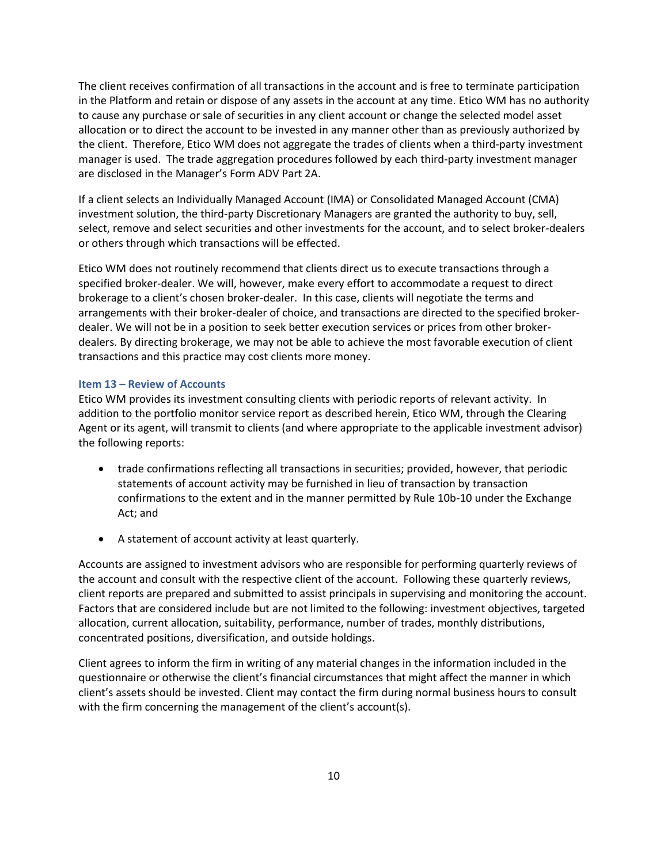The client receives confirmation of all transactions in the account and is free to terminate participation in the Platform and retain or dispose of any assets in the account at any time. Etico WM has no authority to cause any purchase or sale of securities in any client account or change the selected model asset allocation or to direct the account to be invested in any manner other than as previously authorized by the client. Therefore, Etico WM does not aggregate the trades of clients when a third-party investment manager is used. The trade aggregation procedures followed by each third-party investment manager are disclosed in the Manager's Form ADV Part 2A.

If a client selects an Individually Managed Account (IMA) or Consolidated Managed Account (CMA) investment solution, the third-party Discretionary Managers are granted the authority to buy, sell, select, remove and select securities and other investments for the account, and to select broker-dealers or others through which transactions will be effected.

Etico WM does not routinely recommend that clients direct us to execute transactions through a specified broker-dealer. We will, however, make every effort to accommodate a request to direct brokerage to a client's chosen broker-dealer. In this case, clients will negotiate the terms and arrangements with their broker-dealer of choice, and transactions are directed to the specified brokerdealer. We will not be in a position to seek better execution services or prices from other brokerdealers. By directing brokerage, we may not be able to achieve the most favorable execution of client transactions and this practice may cost clients more money.

## <span id="page-12-0"></span>**Item 13 – Review of Accounts**

Etico WM provides its investment consulting clients with periodic reports of relevant activity. In addition to the portfolio monitor service report as described herein, Etico WM, through the Clearing Agent or its agent, will transmit to clients (and where appropriate to the applicable investment advisor) the following reports:

- trade confirmations reflecting all transactions in securities; provided, however, that periodic statements of account activity may be furnished in lieu of transaction by transaction confirmations to the extent and in the manner permitted by Rule 10b-10 under the Exchange Act; and
- A statement of account activity at least quarterly.

Accounts are assigned to investment advisors who are responsible for performing quarterly reviews of the account and consult with the respective client of the account. Following these quarterly reviews, client reports are prepared and submitted to assist principals in supervising and monitoring the account. Factors that are considered include but are not limited to the following: investment objectives, targeted allocation, current allocation, suitability, performance, number of trades, monthly distributions, concentrated positions, diversification, and outside holdings.

Client agrees to inform the firm in writing of any material changes in the information included in the questionnaire or otherwise the client's financial circumstances that might affect the manner in which client's assets should be invested. Client may contact the firm during normal business hours to consult with the firm concerning the management of the client's account(s).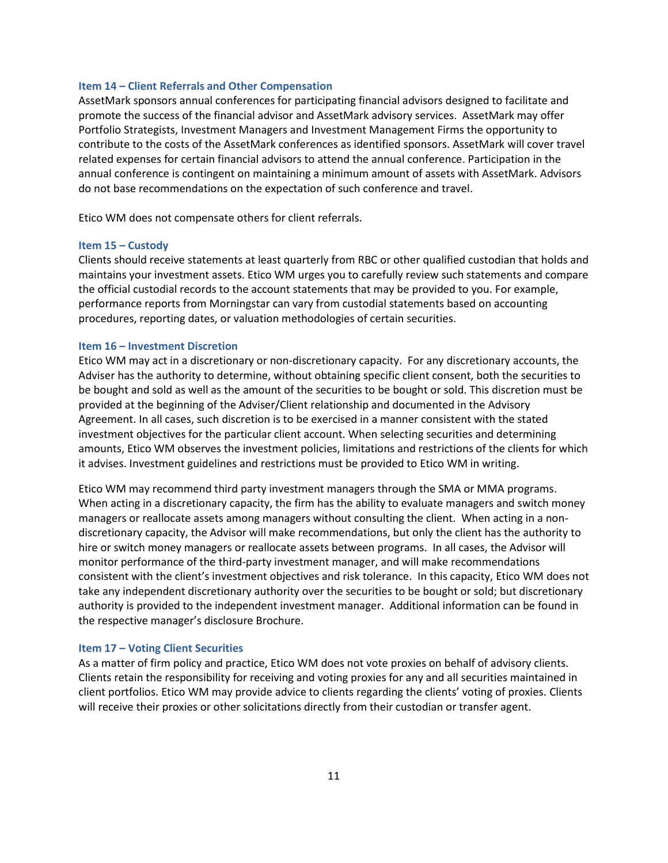#### <span id="page-13-0"></span>**Item 14 – Client Referrals and Other Compensation**

AssetMark sponsors annual conferences for participating financial advisors designed to facilitate and promote the success of the financial advisor and AssetMark advisory services. AssetMark may offer Portfolio Strategists, Investment Managers and Investment Management Firms the opportunity to contribute to the costs of the AssetMark conferences as identified sponsors. AssetMark will cover travel related expenses for certain financial advisors to attend the annual conference. Participation in the annual conference is contingent on maintaining a minimum amount of assets with AssetMark. Advisors do not base recommendations on the expectation of such conference and travel.

<span id="page-13-1"></span>Etico WM does not compensate others for client referrals.

## **Item 15 – Custody**

Clients should receive statements at least quarterly from RBC or other qualified custodian that holds and maintains your investment assets. Etico WM urges you to carefully review such statements and compare the official custodial records to the account statements that may be provided to you. For example, performance reports from Morningstar can vary from custodial statements based on accounting procedures, reporting dates, or valuation methodologies of certain securities.

#### <span id="page-13-2"></span>**Item 16 – Investment Discretion**

Etico WM may act in a discretionary or non-discretionary capacity. For any discretionary accounts, the Adviser has the authority to determine, without obtaining specific client consent, both the securities to be bought and sold as well as the amount of the securities to be bought or sold. This discretion must be provided at the beginning of the Adviser/Client relationship and documented in the Advisory Agreement. In all cases, such discretion is to be exercised in a manner consistent with the stated investment objectives for the particular client account. When selecting securities and determining amounts, Etico WM observes the investment policies, limitations and restrictions of the clients for which it advises. Investment guidelines and restrictions must be provided to Etico WM in writing.

Etico WM may recommend third party investment managers through the SMA or MMA programs. When acting in a discretionary capacity, the firm has the ability to evaluate managers and switch money managers or reallocate assets among managers without consulting the client. When acting in a nondiscretionary capacity, the Advisor will make recommendations, but only the client has the authority to hire or switch money managers or reallocate assets between programs. In all cases, the Advisor will monitor performance of the third-party investment manager, and will make recommendations consistent with the client's investment objectives and risk tolerance. In this capacity, Etico WM does not take any independent discretionary authority over the securities to be bought or sold; but discretionary authority is provided to the independent investment manager. Additional information can be found in the respective manager's disclosure Brochure.

#### <span id="page-13-3"></span>**Item 17 – Voting Client Securities**

As a matter of firm policy and practice, Etico WM does not vote proxies on behalf of advisory clients. Clients retain the responsibility for receiving and voting proxies for any and all securities maintained in client portfolios. Etico WM may provide advice to clients regarding the clients' voting of proxies. Clients will receive their proxies or other solicitations directly from their custodian or transfer agent.